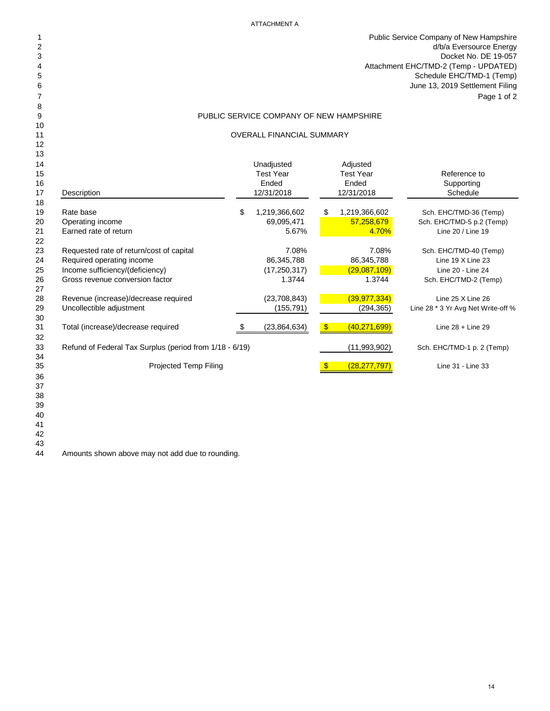#### ATTACHMENT A

 Public Service Company of New Hampshire d/b/a Eversource Energy Docket No. DE 19-057 Attachment EHC/TMD-2 (Temp - UPDATED) Schedule EHC/TMD-1 (Temp) June 13, 2019 Settlement Filing Page 1 of 2

## PUBLIC SERVICE COMPANY OF NEW HAMPSHIRE

#### 11 OVERALL FINANCIAL SUMMARY

| 13       |                                                         |                     |               |                  |                                    |
|----------|---------------------------------------------------------|---------------------|---------------|------------------|------------------------------------|
| 14       |                                                         | Unadjusted          |               | Adjusted         |                                    |
| 15       |                                                         | <b>Test Year</b>    |               | <b>Test Year</b> | Reference to                       |
| 16       |                                                         | Ended               |               | Ended            | Supporting                         |
| 17       | Description                                             | 12/31/2018          |               | 12/31/2018       | Schedule                           |
| 18       |                                                         |                     |               |                  |                                    |
| 19       | Rate base                                               | \$<br>1,219,366,602 | S.            | 1,219,366,602    | Sch. EHC/TMD-36 (Temp)             |
| 20       | Operating income                                        | 69,095,471          |               | 57,258,679       | Sch. EHC/TMD-5 p.2 (Temp)          |
| 21<br>22 | Earned rate of return                                   | 5.67%               |               | 4.70%            | Line 20 / Line 19                  |
| 23       | Requested rate of return/cost of capital                | 7.08%               |               | 7.08%            | Sch. EHC/TMD-40 (Temp)             |
| 24       | Required operating income                               | 86,345,788          |               | 86,345,788       | Line 19 X Line 23                  |
| 25       | Income sufficiency/(deficiency)                         | (17, 250, 317)      |               | (29,087,109)     | Line 20 - Line 24                  |
| 26<br>27 | Gross revenue conversion factor                         | 1.3744              |               | 1.3744           | Sch. EHC/TMD-2 (Temp)              |
| 28       | Revenue (increase)/decrease required                    | (23,708,843)        |               | (39, 977, 334)   | Line 25 X Line 26                  |
| 29<br>30 | Uncollectible adjustment                                | (155, 791)          |               | (294, 365)       | Line 28 * 3 Yr Avg Net Write-off % |
| 31<br>32 | Total (increase)/decrease required                      | (23, 864, 634)      | $\sqrt[6]{3}$ | (40, 271, 699)   | Line $28 +$ Line 29                |
| 33<br>34 | Refund of Federal Tax Surplus (period from 1/18 - 6/19) |                     |               | (11,993,902)     | Sch. EHC/TMD-1 p. 2 (Temp)         |
| 35       | Projected Temp Filing                                   |                     | <b>S</b>      | (28, 277, 797)   | Line 31 - Line 33                  |
| 36       |                                                         |                     |               |                  |                                    |
| 37       |                                                         |                     |               |                  |                                    |
| 38       |                                                         |                     |               |                  |                                    |
| 39       |                                                         |                     |               |                  |                                    |
| 40       |                                                         |                     |               |                  |                                    |

 

Amounts shown above may not add due to rounding.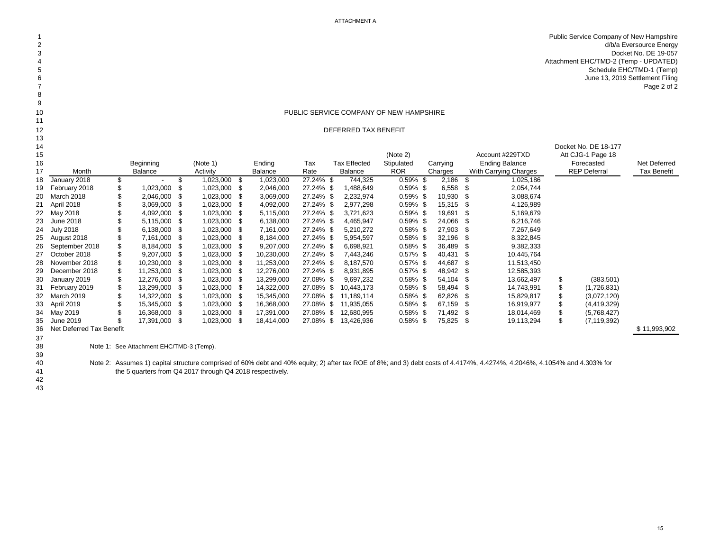Public Service Company of New Hampshire d/b/a Eversource Energy Docket No. DE 19-057 Attachment EHC/TMD-2 (Temp - UPDATED) 5<br>Schedule EHC/TMD-1 (Temp)<br>June 13, 2019 Settlement Filing<br>7 June 13, 2019 Settlement Filing<br>Page 2 of 2 Page 2 of 2

#### **PUBLIC SERVICE COMPANY OF NEW HAMPSHIRE**

#### DEFERRED TAX BENEFIT

| 13 |                          |                                          |              |      |                |           |                     |             |          |        |                       |     |                      |              |
|----|--------------------------|------------------------------------------|--------------|------|----------------|-----------|---------------------|-------------|----------|--------|-----------------------|-----|----------------------|--------------|
| 14 |                          |                                          |              |      |                |           |                     |             |          |        |                       |     | Docket No. DE 18-177 |              |
| 15 |                          |                                          |              |      |                |           |                     | (Note 2)    |          |        | Account #229TXD       |     | Att CJG-1 Page 18    |              |
| 16 |                          | Beginning                                | (Note 1)     |      | Ending         | Tax       | <b>Tax Effected</b> | Stipulated  | Carrying |        | <b>Ending Balance</b> |     | Forecasted           | Net Deferred |
| 17 | Month                    | Balance                                  | Activity     |      | <b>Balance</b> | Rate      | Balance             | <b>ROR</b>  | Charges  |        | With Carrying Charges |     | <b>REP Deferral</b>  | Tax Benefit  |
| 18 | January 2018             | \$                                       | 1,023,000    | \$   | 1,023,000      | 27.24% \$ | 744,325             | $0.59\%$ \$ |          | 2,186  | 1,025,186<br>- \$     |     |                      |              |
| 19 | February 2018            | \$<br>1,023,000                          | 1,023,000 \$ |      | 2,046,000      | 27.24% \$ | 1,488,649           | $0.59\%$ \$ |          | 6,558  | 2,054,744<br>-86      |     |                      |              |
|    | 20 March 2018            | 2,046,000                                | 1,023,000    | - \$ | 3,069,000      | 27.24% \$ | 2,232,974           | $0.59\%$ \$ |          | 10,930 | 3,088,674<br>-96      |     |                      |              |
| 21 | April 2018               | 3,069,000                                | 1,023,000    |      | 4,092,000      | 27.24% \$ | 2,977,298           | $0.59\%$ \$ |          | 15,315 | 4,126,989<br>- 35     |     |                      |              |
|    | 22 May 2018              | 4,092,000                                | 1,023,000 \$ |      | 5,115,000      | 27.24% \$ | 3,721,623           | $0.59\%$ \$ |          | 19,691 | 5,169,679<br>- 35     |     |                      |              |
| 23 | June 2018                | 5,115,000                                | 1,023,000    |      | 6,138,000      | 27.24% \$ | 4,465,947           | 0.59% \$    |          | 24,066 | 6,216,746<br>-S       |     |                      |              |
| 24 | <b>July 2018</b>         | 6,138,000                                | 1,023,000 \$ |      | 7,161,000      | 27.24% \$ | 5,210,272           | $0.58\%$ \$ |          | 27,903 | 7,267,649<br>- 35     |     |                      |              |
| 25 | August 2018              | 7,161,000                                | 1,023,000 \$ |      | 8,184,000      | 27.24% \$ | 5,954,597           | $0.58\%$ \$ |          | 32,196 | 8,322,845<br>- 55     |     |                      |              |
| 26 | September 2018           | 8,184,000                                | 1,023,000 \$ |      | 9,207,000      | 27.24% \$ | 6,698,921           | $0.58\%$ \$ |          | 36,489 | 9,382,333<br>- 25     |     |                      |              |
| 27 | October 2018             | 9,207,000                                | 1,023,000    |      | 10,230,000     | 27.24% \$ | 7,443,246           | $0.57\%$ \$ |          | 40,431 | 10,445,764<br>- 5     |     |                      |              |
| 28 | November 2018            | 10,230,000                               | 1,023,000    |      | 11,253,000     | 27.24% \$ | 8,187,570           | $0.57\%$ \$ |          | 44,687 | 11,513,450<br>- 35    |     |                      |              |
| 29 | December 2018            | 11,253,000                               | 1,023,000 \$ |      | 12,276,000     | 27.24% \$ | 8,931,895           | $0.57\%$ \$ |          | 48,942 | 12,585,393<br>- \$    |     |                      |              |
| 30 | January 2019             | 12,276,000                               | 1,023,000 \$ |      | 13,299,000     | 27.08% \$ | 9,697,232           | $0.58\%$ \$ |          | 54,104 | 13,662,497<br>- \$    | \$  | (383, 501)           |              |
| 31 | February 2019            | 13,299,000                               | 1,023,000    |      | 14,322,000     | 27.08% \$ | 10,443,173          | $0.58\%$ \$ |          | 58,494 | 14,743,991<br>-86     | \$. | (1,726,831)          |              |
|    | 32 March 2019            | 14,322,000                               | 1,023,000    |      | 15,345,000     | 27.08% \$ | 11,189,114          | $0.58\%$ \$ |          | 62,826 | 15,829,817<br>- 96    |     | (3,072,120)          |              |
| 33 | April 2019               | 15,345,000                               | 1,023,000    |      | 16,368,000     | 27.08%    | \$<br>11,935,055    | $0.58\%$ \$ |          | 67,159 | 16,919,977<br>-86     |     | (4, 419, 329)        |              |
| 34 | May 2019                 | 16,368,000                               | 1,023,000    |      | 17,391,000     | 27.08% \$ | 12,680,995          | $0.58\%$ \$ |          | 71,492 | 18,014,469<br>- 56    |     | (5,768,427)          |              |
| 35 | June 2019                | 17,391,000 \$                            | 1,023,000 \$ |      | 18,414,000     | 27.08% \$ | 13,426,936          | $0.58\%$ \$ |          | 75,825 | 19,113,294<br>- \$    | \$  | (7, 119, 392)        |              |
| 36 | Net Deferred Tax Benefit |                                          |              |      |                |           |                     |             |          |        |                       |     |                      | \$11,993,902 |
| 37 |                          |                                          |              |      |                |           |                     |             |          |        |                       |     |                      |              |
| 38 |                          | Note 1: See Attachment EHC/TMD-3 (Temp). |              |      |                |           |                     |             |          |        |                       |     |                      |              |

 

Active 2: Assumes 1) capital structure comprised of 60% debt and 40% equity; 2) after tax ROE of 8%; and 3) debt costs of 4.4174%, 4.4274%, 4.2046%, 4.1054% and 4.303% for the 5 quarters from Q4 2017 through Q4 2018 respec the 5 quarters from Q4 2017 through Q4 2018 respectively.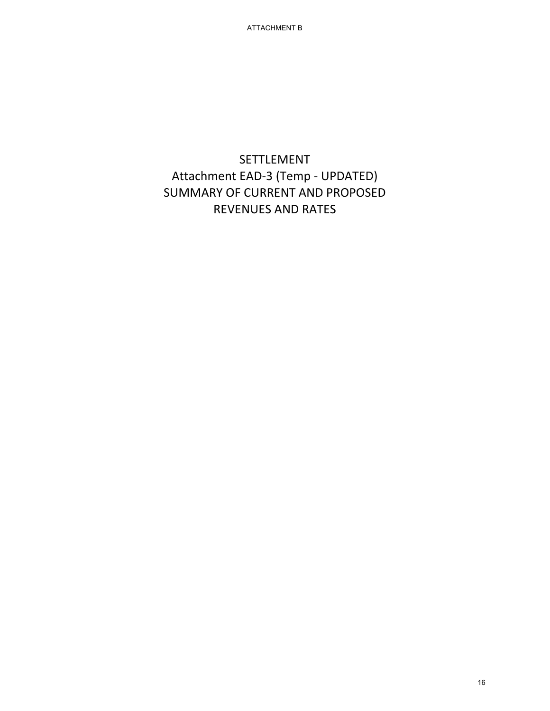# SETTLEMENT Attachment EAD-3 (Temp - UPDATED) SUMMARY OF CURRENT AND PROPOSED REVENUES AND RATES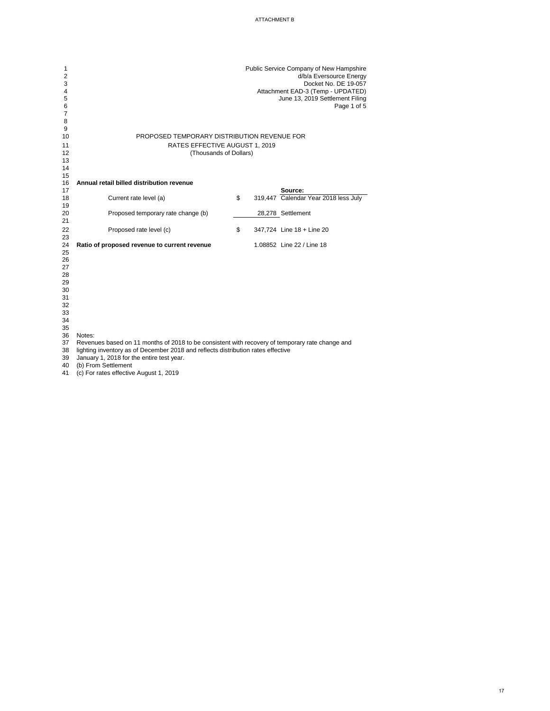| 1<br>$\overline{2}$<br>3<br>4<br>5<br>6<br>7<br>8 |                                                                                                 | Public Service Company of New Hampshire<br>d/b/a Eversource Energy<br>Docket No. DE 19-057<br>Attachment EAD-3 (Temp - UPDATED)<br>June 13, 2019 Settlement Filing<br>Page 1 of 5 |
|---------------------------------------------------|-------------------------------------------------------------------------------------------------|-----------------------------------------------------------------------------------------------------------------------------------------------------------------------------------|
| 9                                                 |                                                                                                 |                                                                                                                                                                                   |
| 10                                                | PROPOSED TEMPORARY DISTRIBUTION REVENUE FOR                                                     |                                                                                                                                                                                   |
| 11                                                | RATES EFFECTIVE AUGUST 1, 2019                                                                  |                                                                                                                                                                                   |
| 12                                                | (Thousands of Dollars)                                                                          |                                                                                                                                                                                   |
| 13                                                |                                                                                                 |                                                                                                                                                                                   |
| 14                                                |                                                                                                 |                                                                                                                                                                                   |
| 15                                                |                                                                                                 |                                                                                                                                                                                   |
| 16                                                | Annual retail billed distribution revenue                                                       |                                                                                                                                                                                   |
| 17                                                |                                                                                                 | Source:                                                                                                                                                                           |
| 18<br>19                                          | Current rate level (a)                                                                          | \$<br>319,447 Calendar Year 2018 less July                                                                                                                                        |
| 20                                                | Proposed temporary rate change (b)                                                              | 28,278 Settlement                                                                                                                                                                 |
| 21                                                |                                                                                                 |                                                                                                                                                                                   |
| 22                                                | Proposed rate level (c)                                                                         | \$<br>347,724 Line 18 + Line 20                                                                                                                                                   |
| 23                                                |                                                                                                 |                                                                                                                                                                                   |
| 24                                                | Ratio of proposed revenue to current revenue                                                    | 1.08852 Line 22 / Line 18                                                                                                                                                         |
| 25                                                |                                                                                                 |                                                                                                                                                                                   |
| 26                                                |                                                                                                 |                                                                                                                                                                                   |
| 27                                                |                                                                                                 |                                                                                                                                                                                   |
| 28                                                |                                                                                                 |                                                                                                                                                                                   |
| 29                                                |                                                                                                 |                                                                                                                                                                                   |
| 30                                                |                                                                                                 |                                                                                                                                                                                   |
| 31                                                |                                                                                                 |                                                                                                                                                                                   |
| 32                                                |                                                                                                 |                                                                                                                                                                                   |
| 33                                                |                                                                                                 |                                                                                                                                                                                   |
| 34                                                |                                                                                                 |                                                                                                                                                                                   |
| 35<br>36                                          | Notes:                                                                                          |                                                                                                                                                                                   |
| 37                                                | Revenues based on 11 months of 2018 to be consistent with recovery of temporary rate change and |                                                                                                                                                                                   |
| 38                                                | lighting inventory as of December 2018 and reflects distribution rates effective                |                                                                                                                                                                                   |
| 39                                                | January 1, 2018 for the entire test year.                                                       |                                                                                                                                                                                   |

(b) From Settlement

(c) For rates effective August 1, 2019

#### ATTACHMENT B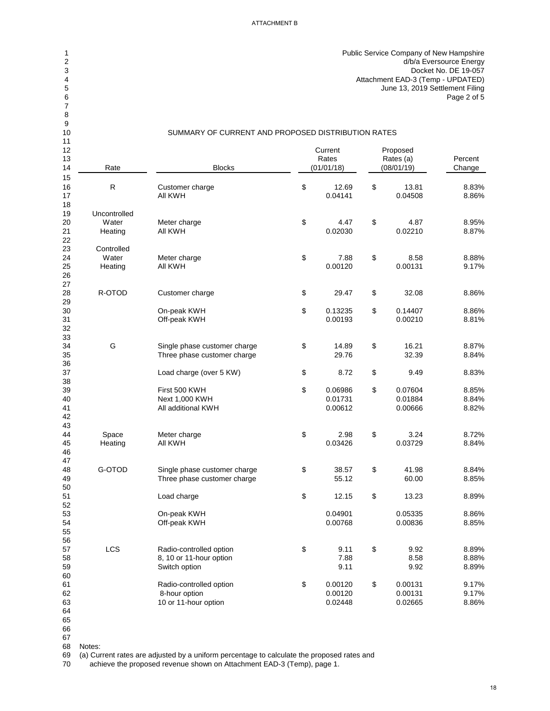Public Service Company of New Hampshire d/b/a Eversource Energy Docket No. DE 19-057 4 Attachment EAD-3 (Temp - UPDATED)<br>5 June 13, 2019 Settlement Filing June 13, 2019 Settlement Filing Page 2 of 5

### SUMMARY OF CURRENT AND PROPOSED DISTRIBUTION RATES

| 11 |              |                                                             |               |               |         |
|----|--------------|-------------------------------------------------------------|---------------|---------------|---------|
| 12 |              |                                                             | Current       | Proposed      |         |
| 13 |              |                                                             | Rates         | Rates (a)     | Percent |
| 14 | Rate         | <b>Blocks</b>                                               | (01/01/18)    | (08/01/19)    | Change  |
| 15 |              |                                                             |               |               |         |
| 16 | $\mathsf{R}$ | Customer charge                                             | \$<br>12.69   | \$<br>13.81   | 8.83%   |
| 17 |              | All KWH                                                     | 0.04141       | 0.04508       | 8.86%   |
| 18 |              |                                                             |               |               |         |
| 19 | Uncontrolled |                                                             |               |               |         |
| 20 | Water        | Meter charge                                                | \$<br>4.47    | \$<br>4.87    | 8.95%   |
| 21 | Heating      | <b>All KWH</b>                                              | 0.02030       | 0.02210       | 8.87%   |
| 22 |              |                                                             |               |               |         |
| 23 | Controlled   |                                                             |               |               |         |
| 24 | Water        | Meter charge                                                | \$<br>7.88    | \$<br>8.58    | 8.88%   |
| 25 | Heating      | <b>All KWH</b>                                              | 0.00120       | 0.00131       | 9.17%   |
| 26 |              |                                                             |               |               |         |
| 27 |              |                                                             |               |               |         |
| 28 | R-OTOD       | Customer charge                                             | \$<br>29.47   | \$<br>32.08   | 8.86%   |
| 29 |              |                                                             |               |               |         |
| 30 |              | On-peak KWH                                                 | \$<br>0.13235 | \$<br>0.14407 | 8.86%   |
| 31 |              | Off-peak KWH                                                | 0.00193       | 0.00210       | 8.81%   |
| 32 |              |                                                             |               |               |         |
| 33 |              |                                                             |               |               |         |
| 34 | G            | Single phase customer charge                                | \$<br>14.89   | \$<br>16.21   | 8.87%   |
| 35 |              | Three phase customer charge                                 | 29.76         | 32.39         | 8.84%   |
| 36 |              |                                                             |               |               |         |
| 37 |              | Load charge (over 5 KW)                                     | \$<br>8.72    | \$<br>9.49    | 8.83%   |
| 38 |              |                                                             |               |               |         |
| 39 |              | First 500 KWH                                               | \$<br>0.06986 | \$<br>0.07604 | 8.85%   |
| 40 |              | Next 1,000 KWH                                              | 0.01731       | 0.01884       | 8.84%   |
| 41 |              | All additional KWH                                          | 0.00612       | 0.00666       | 8.82%   |
| 42 |              |                                                             |               |               |         |
| 43 |              |                                                             |               |               |         |
| 44 | Space        | Meter charge                                                | \$<br>2.98    | \$<br>3.24    | 8.72%   |
| 45 | Heating      | All KWH                                                     | 0.03426       | 0.03729       | 8.84%   |
| 46 |              |                                                             |               |               |         |
| 47 |              |                                                             |               |               |         |
| 48 | G-OTOD       |                                                             | \$<br>38.57   | \$<br>41.98   | 8.84%   |
| 49 |              | Single phase customer charge<br>Three phase customer charge | 55.12         | 60.00         | 8.85%   |
| 50 |              |                                                             |               |               |         |
| 51 |              | Load charge                                                 | \$<br>12.15   | \$<br>13.23   | 8.89%   |
| 52 |              |                                                             |               |               |         |
| 53 |              | On-peak KWH                                                 | 0.04901       | 0.05335       | 8.86%   |
| 54 |              | Off-peak KWH                                                | 0.00768       | 0.00836       | 8.85%   |
| 55 |              |                                                             |               |               |         |
| 56 |              |                                                             |               |               |         |
| 57 | <b>LCS</b>   | Radio-controlled option                                     | \$<br>9.11    | \$<br>9.92    | 8.89%   |
| 58 |              | 8, 10 or 11-hour option                                     | 7.88          | 8.58          | 8.88%   |
| 59 |              | Switch option                                               | 9.11          | 9.92          | 8.89%   |
| 60 |              |                                                             |               |               |         |
| 61 |              | Radio-controlled option                                     | \$<br>0.00120 | \$<br>0.00131 | 9.17%   |
| 62 |              | 8-hour option                                               | 0.00120       | 0.00131       | 9.17%   |
| 63 |              | 10 or 11-hour option                                        | 0.02448       | 0.02665       | 8.86%   |
| 64 |              |                                                             |               |               |         |
|    |              |                                                             |               |               |         |

 

Notes:

(a) Current rates are adjusted by a uniform percentage to calculate the proposed rates and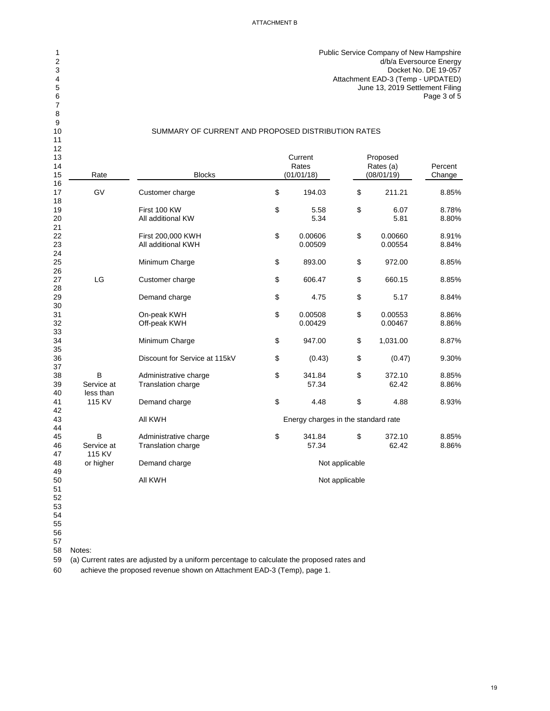Public Service Company of New Hampshire d/b/a Eversource Energy Docket No. DE 19-057 Attachment EAD-3 (Temp - UPDATED) June 13, 2019 Settlement Filing Page 3 of 5

### SUMMARY OF CURRENT AND PROPOSED DISTRIBUTION RATES

| 12<br>13<br>14<br>15<br>16        | Rate                         | <b>Blocks</b>                               |                                           | Current<br>Rates<br>(01/01/18)      |                | Proposed<br>Rates (a)<br>(08/01/19) | Percent<br>Change |
|-----------------------------------|------------------------------|---------------------------------------------|-------------------------------------------|-------------------------------------|----------------|-------------------------------------|-------------------|
| 17                                | GV                           | Customer charge                             | \$                                        | 194.03                              | \$             | 211.21                              | 8.85%             |
| 18<br>19<br>20<br>21              |                              | First 100 KW<br>All additional KW           | \$                                        | 5.58<br>5.34                        | \$             | 6.07<br>5.81                        | 8.78%<br>8.80%    |
| 22<br>23<br>24                    |                              | First 200,000 KWH<br>All additional KWH     | \$                                        | 0.00606<br>0.00509                  | \$             | 0.00660<br>0.00554                  | 8.91%<br>8.84%    |
| 25<br>26                          |                              | Minimum Charge                              | \$                                        | 893.00                              | \$             | 972.00                              | 8.85%             |
| 27<br>28                          | LG                           | Customer charge                             | \$                                        | 606.47                              | \$             | 660.15                              | 8.85%             |
| 29<br>30                          |                              | Demand charge                               | $\, \, \raisebox{12pt}{$\scriptstyle \$}$ | 4.75                                | \$             | 5.17                                | 8.84%             |
| 31<br>32<br>33                    |                              | On-peak KWH<br>Off-peak KWH                 | \$                                        | 0.00508<br>0.00429                  | \$             | 0.00553<br>0.00467                  | 8.86%<br>8.86%    |
| 34<br>35                          |                              | Minimum Charge                              | \$                                        | 947.00                              | \$             | 1,031.00                            | 8.87%             |
| 36<br>37                          |                              | Discount for Service at 115kV               | \$                                        | (0.43)                              | \$             | (0.47)                              | 9.30%             |
| 38<br>39<br>40                    | B<br>Service at<br>less than | Administrative charge<br>Translation charge | \$                                        | 341.84<br>57.34                     | \$             | 372.10<br>62.42                     | 8.85%<br>8.86%    |
| 41<br>42                          | 115 KV                       | Demand charge                               | \$                                        | 4.48                                | \$             | 4.88                                | 8.93%             |
| 43<br>44                          |                              | All KWH                                     |                                           | Energy charges in the standard rate |                |                                     |                   |
| 45<br>46<br>47                    | B<br>Service at<br>115 KV    | Administrative charge<br>Translation charge | \$                                        | 341.84<br>57.34                     | \$             | 372.10<br>62.42                     | 8.85%<br>8.86%    |
| 48<br>49                          | or higher                    | Demand charge                               |                                           |                                     | Not applicable |                                     |                   |
| 50<br>51<br>52<br>53<br>54<br>$-$ |                              | All KWH                                     |                                           |                                     | Not applicable |                                     |                   |

- 
- 
- Notes:

(a) Current rates are adjusted by a uniform percentage to calculate the proposed rates and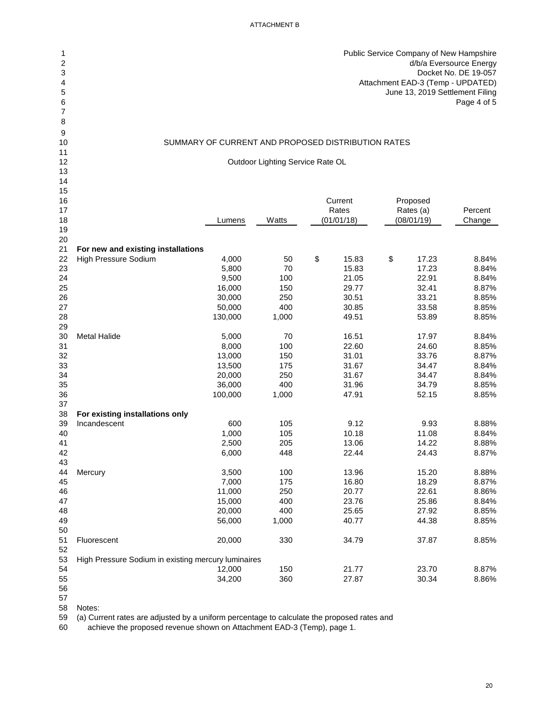| 1<br>2<br>3<br>4<br>5<br>6<br>7 |                                                     |                                                    |                                  |                |                | Public Service Company of New Hampshire<br>d/b/a Eversource Energy<br>Docket No. DE 19-057<br>Attachment EAD-3 (Temp - UPDATED)<br>June 13, 2019 Settlement Filing<br>Page 4 of 5 |
|---------------------------------|-----------------------------------------------------|----------------------------------------------------|----------------------------------|----------------|----------------|-----------------------------------------------------------------------------------------------------------------------------------------------------------------------------------|
| 8                               |                                                     |                                                    |                                  |                |                |                                                                                                                                                                                   |
| 9<br>10                         |                                                     | SUMMARY OF CURRENT AND PROPOSED DISTRIBUTION RATES |                                  |                |                |                                                                                                                                                                                   |
| 11                              |                                                     |                                                    |                                  |                |                |                                                                                                                                                                                   |
| 12                              |                                                     |                                                    | Outdoor Lighting Service Rate OL |                |                |                                                                                                                                                                                   |
| 13                              |                                                     |                                                    |                                  |                |                |                                                                                                                                                                                   |
| 14<br>15                        |                                                     |                                                    |                                  |                |                |                                                                                                                                                                                   |
| 16                              |                                                     |                                                    |                                  | Current        | Proposed       |                                                                                                                                                                                   |
| 17                              |                                                     |                                                    |                                  | Rates          | Rates (a)      | Percent                                                                                                                                                                           |
| 18                              |                                                     | Lumens                                             | Watts                            | (01/01/18)     | (08/01/19)     | Change                                                                                                                                                                            |
| 19                              |                                                     |                                                    |                                  |                |                |                                                                                                                                                                                   |
| 20<br>21                        | For new and existing installations                  |                                                    |                                  |                |                |                                                                                                                                                                                   |
| 22                              | <b>High Pressure Sodium</b>                         | 4,000                                              | 50                               | \$<br>15.83    | \$<br>17.23    | 8.84%                                                                                                                                                                             |
| 23                              |                                                     | 5,800                                              | 70                               | 15.83          | 17.23          | 8.84%                                                                                                                                                                             |
| 24                              |                                                     | 9,500                                              | 100                              | 21.05          | 22.91          | 8.84%                                                                                                                                                                             |
| 25                              |                                                     | 16,000                                             | 150                              | 29.77          | 32.41          | 8.87%                                                                                                                                                                             |
| 26                              |                                                     | 30,000                                             | 250                              | 30.51          | 33.21          | 8.85%                                                                                                                                                                             |
| 27                              |                                                     | 50,000                                             | 400                              | 30.85          | 33.58          | 8.85%                                                                                                                                                                             |
| 28                              |                                                     | 130,000                                            | 1,000                            | 49.51          | 53.89          | 8.85%                                                                                                                                                                             |
| 29                              |                                                     |                                                    |                                  |                |                |                                                                                                                                                                                   |
| 30<br>31                        | <b>Metal Halide</b>                                 | 5,000<br>8,000                                     | 70<br>100                        | 16.51<br>22.60 | 17.97<br>24.60 | 8.84%<br>8.85%                                                                                                                                                                    |
| 32                              |                                                     | 13,000                                             | 150                              | 31.01          | 33.76          | 8.87%                                                                                                                                                                             |
| 33                              |                                                     | 13,500                                             | 175                              | 31.67          | 34.47          | 8.84%                                                                                                                                                                             |
| 34                              |                                                     | 20,000                                             | 250                              | 31.67          | 34.47          | 8.84%                                                                                                                                                                             |
| 35                              |                                                     | 36,000                                             | 400                              | 31.96          | 34.79          | 8.85%                                                                                                                                                                             |
| 36                              |                                                     | 100,000                                            | 1,000                            | 47.91          | 52.15          | 8.85%                                                                                                                                                                             |
| 37                              |                                                     |                                                    |                                  |                |                |                                                                                                                                                                                   |
| 38                              | For existing installations only                     |                                                    |                                  |                |                |                                                                                                                                                                                   |
| 39<br>40                        | Incandescent                                        | 600<br>1,000                                       | 105<br>105                       | 9.12<br>10.18  | 9.93<br>11.08  | 8.88%<br>8.84%                                                                                                                                                                    |
| 41                              |                                                     | 2,500                                              | 205                              | 13.06          | 14.22          | 8.88%                                                                                                                                                                             |
| 42                              |                                                     | 6,000                                              | 448                              | 22.44          | 24.43          | 8.87%                                                                                                                                                                             |
| 43                              |                                                     |                                                    |                                  |                |                |                                                                                                                                                                                   |
| 44                              | Mercury                                             | 3,500                                              | 100                              | 13.96          | 15.20          | 8.88%                                                                                                                                                                             |
| 45                              |                                                     | 7,000                                              | 175                              | 16.80          | 18.29          | 8.87%                                                                                                                                                                             |
| 46                              |                                                     | 11,000                                             | 250                              | 20.77          | 22.61          | 8.86%                                                                                                                                                                             |
| 47                              |                                                     | 15,000                                             | 400                              | 23.76          | 25.86          | 8.84%                                                                                                                                                                             |
| 48<br>49                        |                                                     | 20,000<br>56,000                                   | 400<br>1,000                     | 25.65<br>40.77 | 27.92<br>44.38 | 8.85%<br>8.85%                                                                                                                                                                    |
| 50                              |                                                     |                                                    |                                  |                |                |                                                                                                                                                                                   |
| 51                              | Fluorescent                                         | 20,000                                             | 330                              | 34.79          | 37.87          | 8.85%                                                                                                                                                                             |
| 52                              |                                                     |                                                    |                                  |                |                |                                                                                                                                                                                   |
| 53                              | High Pressure Sodium in existing mercury luminaires |                                                    |                                  |                |                |                                                                                                                                                                                   |
| 54                              |                                                     | 12,000                                             | 150                              | 21.77          | 23.70          | 8.87%                                                                                                                                                                             |
| 55                              |                                                     | 34,200                                             | 360                              | 27.87          | 30.34          | 8.86%                                                                                                                                                                             |
| 56<br>57                        |                                                     |                                                    |                                  |                |                |                                                                                                                                                                                   |
|                                 |                                                     |                                                    |                                  |                |                |                                                                                                                                                                                   |

Notes:

(a) Current rates are adjusted by a uniform percentage to calculate the proposed rates and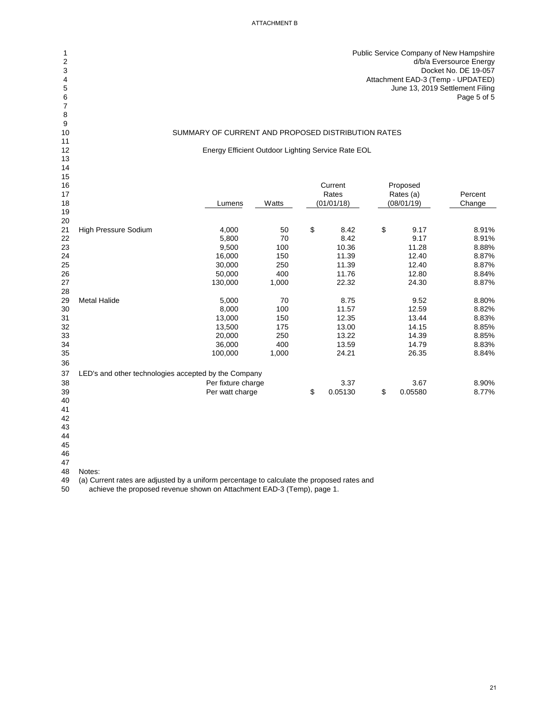Public Service Company of New Hampshire d/b/a Eversource Energy Docket No. DE 19-057 Attachment EAD-3 (Temp - UPDATED) June 13, 2019 Settlement Filing Page 5 of 5

#### SUMMARY OF CURRENT AND PROPOSED DISTRIBUTION RATES

Energy Efficient Outdoor Lighting Service Rate EOL

| 15 |                                                      |                    |       |               |               |         |
|----|------------------------------------------------------|--------------------|-------|---------------|---------------|---------|
| 16 |                                                      |                    |       | Current       | Proposed      |         |
| 17 |                                                      |                    |       | Rates         | Rates (a)     | Percent |
| 18 |                                                      | Lumens             | Watts | (01/01/18)    | (08/01/19)    | Change  |
| 19 |                                                      |                    |       |               |               |         |
| 20 |                                                      |                    |       |               |               |         |
| 21 | <b>High Pressure Sodium</b>                          | 4,000              | 50    | \$<br>8.42    | \$<br>9.17    | 8.91%   |
| 22 |                                                      | 5,800              | 70    | 8.42          | 9.17          | 8.91%   |
| 23 |                                                      | 9,500              | 100   | 10.36         | 11.28         | 8.88%   |
| 24 |                                                      | 16,000             | 150   | 11.39         | 12.40         | 8.87%   |
| 25 |                                                      | 30,000             | 250   | 11.39         | 12.40         | 8.87%   |
| 26 |                                                      | 50,000             | 400   | 11.76         | 12.80         | 8.84%   |
| 27 |                                                      | 130,000            | 1,000 | 22.32         | 24.30         | 8.87%   |
| 28 |                                                      |                    |       |               |               |         |
| 29 | <b>Metal Halide</b>                                  | 5,000              | 70    | 8.75          | 9.52          | 8.80%   |
| 30 |                                                      | 8,000              | 100   | 11.57         | 12.59         | 8.82%   |
| 31 |                                                      | 13,000             | 150   | 12.35         | 13.44         | 8.83%   |
| 32 |                                                      | 13,500             | 175   | 13.00         | 14.15         | 8.85%   |
| 33 |                                                      | 20,000             | 250   | 13.22         | 14.39         | 8.85%   |
| 34 |                                                      | 36,000             | 400   | 13.59         | 14.79         | 8.83%   |
| 35 |                                                      | 100,000            | 1,000 | 24.21         | 26.35         | 8.84%   |
| 36 |                                                      |                    |       |               |               |         |
| 37 | LED's and other technologies accepted by the Company |                    |       |               |               |         |
| 38 |                                                      | Per fixture charge |       | 3.37          | 3.67          | 8.90%   |
| 39 |                                                      | Per watt charge    |       | \$<br>0.05130 | \$<br>0.05580 | 8.77%   |
| 40 |                                                      |                    |       |               |               |         |
| 41 |                                                      |                    |       |               |               |         |
|    |                                                      |                    |       |               |               |         |

 

Notes:

49 (a) Current rates are adjusted by a uniform percentage to calculate the proposed rates and<br>50 achieve the proposed revenue shown on Attachment EAD-3 (Temp), page 1.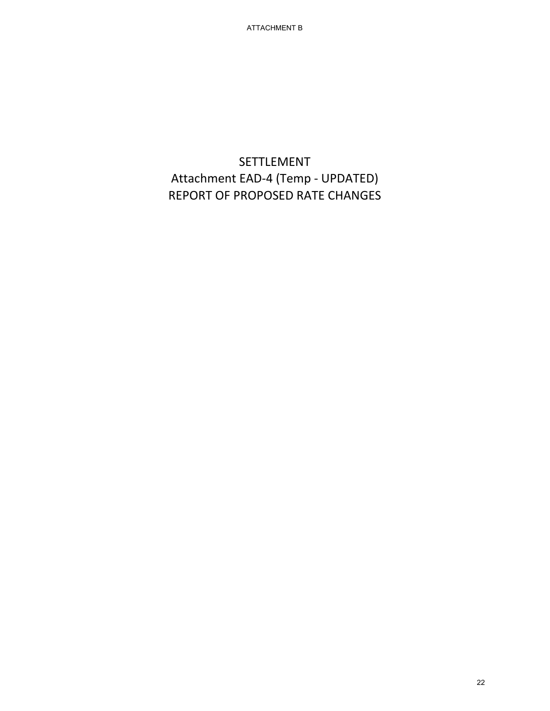ATTACHMENT B

# SETTLEMENT Attachment EAD-4 (Temp - UPDATED) REPORT OF PROPOSED RATE CHANGES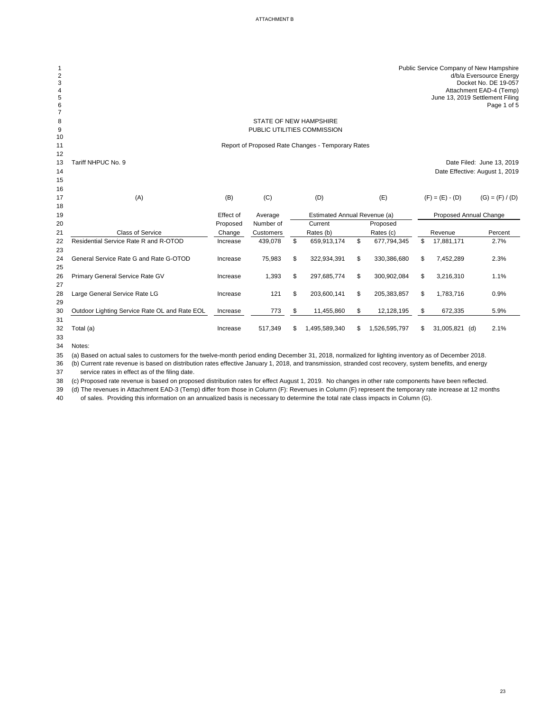| $\sqrt{2}$<br>3<br>$\overline{\mathbf{4}}$<br>5<br>6<br>$\overline{7}$ |                                               |           |                  |                                                   |    |               | Public Service Company of New Hampshire<br>June 13, 2019 Settlement Filing | d/b/a Eversource Energy<br>Docket No. DE 19-057<br>Attachment EAD-4 (Temp)<br>Page 1 of 5 |
|------------------------------------------------------------------------|-----------------------------------------------|-----------|------------------|---------------------------------------------------|----|---------------|----------------------------------------------------------------------------|-------------------------------------------------------------------------------------------|
| 8                                                                      |                                               |           |                  | STATE OF NEW HAMPSHIRE                            |    |               |                                                                            |                                                                                           |
| 9                                                                      |                                               |           |                  | PUBLIC UTILITIES COMMISSION                       |    |               |                                                                            |                                                                                           |
| 10                                                                     |                                               |           |                  |                                                   |    |               |                                                                            |                                                                                           |
| 11                                                                     |                                               |           |                  | Report of Proposed Rate Changes - Temporary Rates |    |               |                                                                            |                                                                                           |
| 12                                                                     |                                               |           |                  |                                                   |    |               |                                                                            |                                                                                           |
| 13                                                                     | Tariff NHPUC No. 9                            |           |                  |                                                   |    |               |                                                                            | Date Filed: June 13, 2019                                                                 |
| 14                                                                     |                                               |           |                  |                                                   |    |               |                                                                            | Date Effective: August 1, 2019                                                            |
| 15                                                                     |                                               |           |                  |                                                   |    |               |                                                                            |                                                                                           |
| 16                                                                     |                                               |           |                  |                                                   |    |               |                                                                            |                                                                                           |
| 17                                                                     | (A)                                           | (B)       | (C)              | (D)                                               |    | (E)           | $(F) = (E) - (D)$                                                          | $(G) = (F) / (D)$                                                                         |
| 18                                                                     |                                               |           |                  |                                                   |    |               |                                                                            |                                                                                           |
| 19                                                                     |                                               | Effect of | Average          | <b>Estimated Annual Revenue (a)</b>               |    |               | <b>Proposed Annual Change</b>                                              |                                                                                           |
| 20                                                                     |                                               | Proposed  | Number of        | Current                                           |    | Proposed      |                                                                            |                                                                                           |
| 21                                                                     | <b>Class of Service</b>                       | Change    | <b>Customers</b> | Rates (b)                                         |    | Rates (c)     | Revenue                                                                    | Percent                                                                                   |
| 22<br>23                                                               | Residential Service Rate R and R-OTOD         | Increase  | 439,078          | \$<br>659,913,174                                 | \$ | 677,794,345   | \$<br>17,881,171                                                           | 2.7%                                                                                      |
| 24                                                                     | General Service Rate G and Rate G-OTOD        | Increase  | 75,983           | \$<br>322,934,391                                 | \$ | 330,386,680   | \$<br>7,452,289                                                            | 2.3%                                                                                      |
| 25                                                                     |                                               |           |                  |                                                   |    |               |                                                                            |                                                                                           |
| 26                                                                     | Primary General Service Rate GV               | Increase  | 1,393            | \$<br>297,685,774                                 | \$ | 300,902,084   | \$<br>3,216,310                                                            | 1.1%                                                                                      |
| 27                                                                     |                                               |           |                  |                                                   |    |               |                                                                            |                                                                                           |
| 28                                                                     | Large General Service Rate LG                 | Increase  | 121              | \$<br>203,600,141                                 | \$ | 205,383,857   | \$<br>1,783,716                                                            | 0.9%                                                                                      |
| 29                                                                     |                                               |           |                  |                                                   |    |               |                                                                            |                                                                                           |
| 30                                                                     | Outdoor Lighting Service Rate OL and Rate EOL | Increase  | 773              | \$<br>11,455,860                                  | \$ | 12,128,195    | \$<br>672,335                                                              | 5.9%                                                                                      |
| 31                                                                     |                                               |           |                  |                                                   |    |               |                                                                            |                                                                                           |
| 32                                                                     | Total (a)                                     | Increase  | 517,349          | \$<br>1,495,589,340                               | S  | 1,526,595,797 | \$<br>31,005,821<br>(d)                                                    | 2.1%                                                                                      |
| 33                                                                     |                                               |           |                  |                                                   |    |               |                                                                            |                                                                                           |

Notes:

(b) Current rate revenue is based on distribution rates effective January 1, 2018, and transmission, stranded cost recovery, system benefits, and energy

37 service rates in effect as of the filing date.

(c) Proposed rate revenue is based on proposed distribution rates for effect August 1, 2019. No changes in other rate components have been reflected.

 (a) Based on actual sales to customers for the twelve-month period ending December 31, 2018, normalized for lighting inventory as of December 2018.

(d) The revenues in Attachment EAD-3 (Temp) differ from those in Column (F): Revenues in Column (F) represent the temporary rate increase at 12 months

of sales. Providing this information on an annualized basis is necessary to determine the total rate class impacts in Column (G).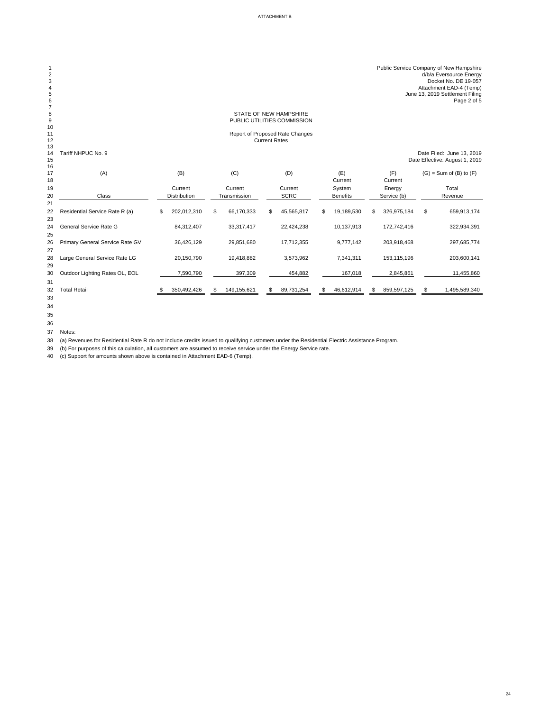| $\overline{2}$<br>3<br>4<br>5<br>6 |                                 |                   |                  |                      |                                 |    |                 |                   | Public Service Company of New Hampshire<br>d/b/a Eversource Energy<br>Docket No. DE 19-057<br>Attachment EAD-4 (Temp)<br>June 13, 2019 Settlement Filing<br>Page 2 of 5 |
|------------------------------------|---------------------------------|-------------------|------------------|----------------------|---------------------------------|----|-----------------|-------------------|-------------------------------------------------------------------------------------------------------------------------------------------------------------------------|
| 8                                  |                                 |                   |                  |                      | <b>STATE OF NEW HAMPSHIRE</b>   |    |                 |                   |                                                                                                                                                                         |
| 9                                  |                                 |                   |                  |                      | PUBLIC UTILITIES COMMISSION     |    |                 |                   |                                                                                                                                                                         |
| 10<br>11                           |                                 |                   |                  |                      | Report of Proposed Rate Changes |    |                 |                   |                                                                                                                                                                         |
| 12                                 |                                 |                   |                  | <b>Current Rates</b> |                                 |    |                 |                   |                                                                                                                                                                         |
| 13<br>14<br>15<br>16               | Tariff NHPUC No. 9              |                   |                  |                      |                                 |    |                 |                   | Date Filed: June 13, 2019<br>Date Effective: August 1, 2019                                                                                                             |
| 17<br>18                           | (A)                             | (B)               | (C)              |                      | (D)                             |    | (E)<br>Current  | (F)<br>Current    | $(G)$ = Sum of $(B)$ to $(F)$                                                                                                                                           |
| 19                                 |                                 | Current           | Current          |                      | Current                         |    | System          | Energy            | Total                                                                                                                                                                   |
| 20                                 | Class                           | Distribution      | Transmission     |                      | <b>SCRC</b>                     |    | <b>Benefits</b> | Service (b)       | Revenue                                                                                                                                                                 |
| 21                                 |                                 |                   |                  |                      |                                 |    |                 |                   |                                                                                                                                                                         |
| 22<br>23                           | Residential Service Rate R (a)  | \$<br>202,012,310 | \$<br>66,170,333 | \$                   | 45,565,817                      | \$ | 19,189,530      | \$<br>326,975,184 | \$<br>659,913,174                                                                                                                                                       |
| 24                                 | <b>General Service Rate G</b>   | 84,312,407        | 33,317,417       |                      | 22,424,238                      |    | 10,137,913      | 172,742,416       | 322,934,391                                                                                                                                                             |
| 25<br>26<br>27                     | Primary General Service Rate GV | 36,426,129        | 29,851,680       |                      | 17,712,355                      |    | 9,777,142       | 203,918,468       | 297,685,774                                                                                                                                                             |
| 28<br>29                           | Large General Service Rate LG   | 20,150,790        | 19,418,882       |                      | 3,573,962                       |    | 7,341,311       | 153,115,196       | 203,600,141                                                                                                                                                             |
| 30                                 | Outdoor Lighting Rates OL, EOL  | 7,590,790         | 397,309          |                      | 454,882                         |    | 167,018         | 2,845,861         | 11,455,860                                                                                                                                                              |
| 31<br>32<br>33                     | <b>Total Retail</b>             | 350,492,426       | 149,155,621      | \$                   | 89,731,254                      | S. | 46,612,914      | 859,597,125       | 1,495,589,340                                                                                                                                                           |

Notes:

(a) Revenues for Residential Rate R do not include credits issued to qualifying customers under the Residential Electric Assistance Program.

(b) For purposes of this calculation, all customers are assumed to receive service under the Energy Service rate.

(c) Support for amounts shown above is contained in Attachment EAD-6 (Temp).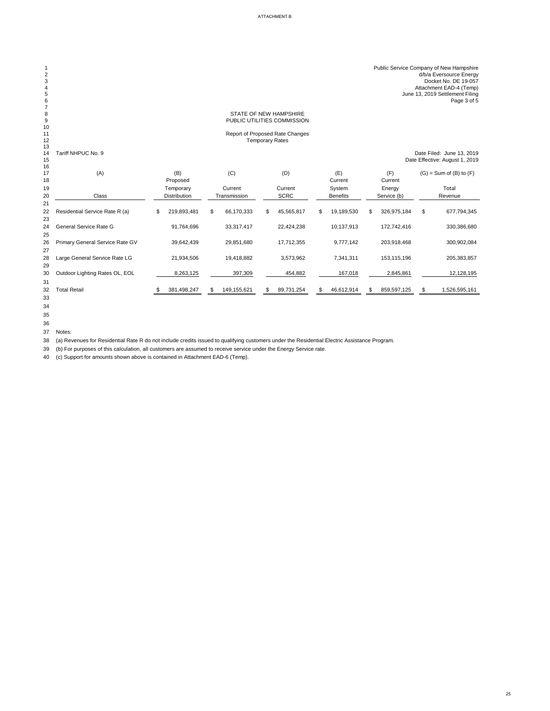| $\mathbf 2$<br>$\mathbf{3}$<br>$\overline{\mathbf{4}}$<br>5<br>$\,6$<br>$\overline{7}$ |                                 |                   |                  |                                                           |                  |                   | Public Service Company of New Hampshire<br>d/b/a Eversource Energy<br>Docket No. DE 19-057<br>Attachment EAD-4 (Temp)<br>June 13, 2019 Settlement Filing<br>Page 3 of 5 |
|----------------------------------------------------------------------------------------|---------------------------------|-------------------|------------------|-----------------------------------------------------------|------------------|-------------------|-------------------------------------------------------------------------------------------------------------------------------------------------------------------------|
| 8                                                                                      |                                 |                   |                  | STATE OF NEW HAMPSHIRE                                    |                  |                   |                                                                                                                                                                         |
| $\boldsymbol{9}$                                                                       |                                 |                   |                  | PUBLIC UTILITIES COMMISSION                               |                  |                   |                                                                                                                                                                         |
| 10                                                                                     |                                 |                   |                  |                                                           |                  |                   |                                                                                                                                                                         |
| 11<br>12                                                                               |                                 |                   |                  | Report of Proposed Rate Changes<br><b>Temporary Rates</b> |                  |                   |                                                                                                                                                                         |
| 13                                                                                     |                                 |                   |                  |                                                           |                  |                   |                                                                                                                                                                         |
| 14                                                                                     | Tariff NHPUC No. 9              |                   |                  |                                                           |                  |                   | Date Filed: June 13, 2019                                                                                                                                               |
| 15                                                                                     |                                 |                   |                  |                                                           |                  |                   | Date Effective: August 1, 2019                                                                                                                                          |
| 16<br>17                                                                               | (A)                             | (B)               | (C)              | (D)                                                       | (E)              | (F)               | $(G)$ = Sum of $(B)$ to $(F)$                                                                                                                                           |
| 18                                                                                     |                                 | Proposed          |                  |                                                           | Current          | Current           |                                                                                                                                                                         |
| 19                                                                                     |                                 | Temporary         | Current          | Current                                                   | System           | Energy            | Total                                                                                                                                                                   |
| 20                                                                                     | Class                           | Distribution      | Transmission     | <b>SCRC</b>                                               | <b>Benefits</b>  | Service (b)       | Revenue                                                                                                                                                                 |
| 21                                                                                     |                                 |                   |                  |                                                           |                  |                   |                                                                                                                                                                         |
| 22                                                                                     | Residential Service Rate R (a)  | \$<br>219,893,481 | \$<br>66,170,333 | \$<br>45,565,817                                          | \$<br>19,189,530 | \$<br>326,975,184 | \$<br>677,794,345                                                                                                                                                       |
| 23                                                                                     |                                 |                   |                  |                                                           |                  |                   |                                                                                                                                                                         |
| 24                                                                                     | <b>General Service Rate G</b>   | 91,764,696        | 33,317,417       | 22,424,238                                                | 10,137,913       | 172,742,416       | 330,386,680                                                                                                                                                             |
| 25                                                                                     |                                 |                   |                  |                                                           |                  |                   |                                                                                                                                                                         |
| 26                                                                                     | Primary General Service Rate GV | 39,642,439        | 29,851,680       | 17,712,355                                                | 9,777,142        | 203,918,468       | 300,902,084                                                                                                                                                             |
| 27                                                                                     |                                 |                   |                  |                                                           |                  |                   |                                                                                                                                                                         |
| 28                                                                                     | Large General Service Rate LG   | 21,934,506        | 19,418,882       | 3,573,962                                                 | 7,341,311        | 153,115,196       | 205, 383, 857                                                                                                                                                           |
| 29                                                                                     |                                 |                   |                  |                                                           |                  |                   |                                                                                                                                                                         |
| 30                                                                                     | Outdoor Lighting Rates OL, EOL  | 8,263,125         | 397,309          | 454,882                                                   | 167,018          | 2,845,861         | 12,128,195                                                                                                                                                              |
| 31<br>32                                                                               | <b>Total Retail</b>             | 381,498,247       | 149,155,621      | 89,731,254                                                | \$<br>46,612,914 | 859,597,125       | 1,526,595,161                                                                                                                                                           |
| 33                                                                                     |                                 |                   |                  |                                                           |                  |                   |                                                                                                                                                                         |
|                                                                                        |                                 |                   |                  |                                                           |                  |                   |                                                                                                                                                                         |

Notes:

(a) Revenues for Residential Rate R do not include credits issued to qualifying customers under the Residential Electric Assistance Program.

(b) For purposes of this calculation, all customers are assumed to receive service under the Energy Service rate.

(c) Support for amounts shown above is contained in Attachment EAD-6 (Temp).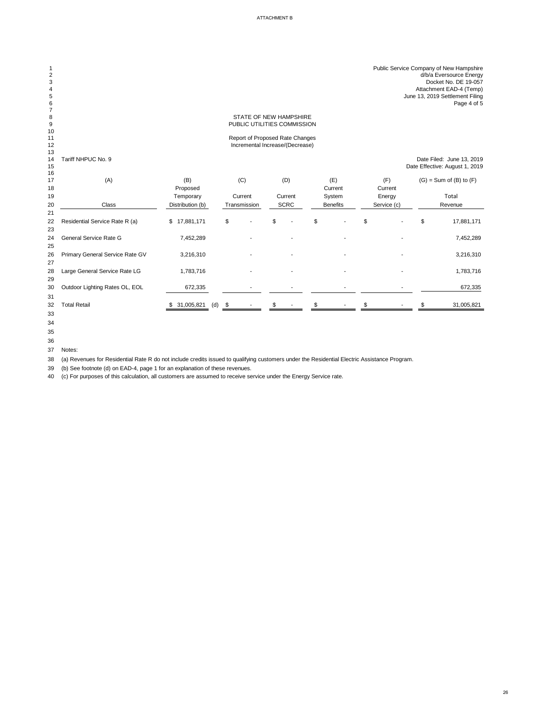| $\mathbf 1$<br>$\overline{2}$<br>3<br>4<br>5<br>$\,$ 6 $\,$ |                                 |                   |    |                                 |             |                 |             | Public Service Company of New Hampshire<br>d/b/a Eversource Energy<br>Docket No. DE 19-057<br>Attachment EAD-4 (Temp)<br>June 13, 2019 Settlement Filing<br>Page 4 of 5 |
|-------------------------------------------------------------|---------------------------------|-------------------|----|---------------------------------|-------------|-----------------|-------------|-------------------------------------------------------------------------------------------------------------------------------------------------------------------------|
| $\overline{7}$<br>8                                         |                                 |                   |    | STATE OF NEW HAMPSHIRE          |             |                 |             |                                                                                                                                                                         |
| $\boldsymbol{9}$                                            |                                 |                   |    | PUBLIC UTILITIES COMMISSION     |             |                 |             |                                                                                                                                                                         |
| 10                                                          |                                 |                   |    |                                 |             |                 |             |                                                                                                                                                                         |
| 11                                                          |                                 |                   |    | Report of Proposed Rate Changes |             |                 |             |                                                                                                                                                                         |
| 12<br>13                                                    |                                 |                   |    | Incremental Increase/(Decrease) |             |                 |             |                                                                                                                                                                         |
| 14<br>15<br>16                                              | Tariff NHPUC No. 9              |                   |    |                                 |             |                 |             | Date Filed: June 13, 2019<br>Date Effective: August 1, 2019                                                                                                             |
| 17                                                          | (A)                             | (B)               |    | (C)                             | (D)         | (E)             | (F)         | $(G)$ = Sum of $(B)$ to $(F)$                                                                                                                                           |
| 18                                                          |                                 | Proposed          |    |                                 |             | Current         | Current     |                                                                                                                                                                         |
| 19                                                          |                                 | Temporary         |    | Current                         | Current     | System          | Energy      | Total                                                                                                                                                                   |
| 20                                                          | <b>Class</b>                    | Distribution (b)  |    | Transmission                    | <b>SCRC</b> | <b>Benefits</b> | Service (c) | Revenue                                                                                                                                                                 |
| 21                                                          |                                 |                   |    |                                 |             |                 |             |                                                                                                                                                                         |
| 22                                                          | Residential Service Rate R (a)  | \$17,881,171      | \$ |                                 | \$          | \$              | \$          | \$<br>17,881,171                                                                                                                                                        |
| 23                                                          |                                 |                   |    |                                 |             |                 |             |                                                                                                                                                                         |
| 24                                                          | <b>General Service Rate G</b>   | 7,452,289         |    |                                 |             |                 |             | 7,452,289                                                                                                                                                               |
| 25                                                          |                                 |                   |    |                                 |             |                 |             |                                                                                                                                                                         |
| 26                                                          | Primary General Service Rate GV | 3,216,310         |    |                                 |             |                 |             | 3,216,310                                                                                                                                                               |
| 27                                                          |                                 |                   |    |                                 |             |                 |             |                                                                                                                                                                         |
| 28                                                          | Large General Service Rate LG   | 1,783,716         |    |                                 |             |                 |             | 1,783,716                                                                                                                                                               |
| 29                                                          |                                 |                   |    |                                 |             |                 |             |                                                                                                                                                                         |
| 30                                                          | Outdoor Lighting Rates OL, EOL  | 672,335           |    |                                 |             |                 |             | 672,335                                                                                                                                                                 |
| 31                                                          |                                 |                   |    |                                 |             |                 |             |                                                                                                                                                                         |
| 32                                                          | <b>Total Retail</b>             | 31,005,821<br>(d) | -S |                                 |             |                 |             | 31,005,821                                                                                                                                                              |
| 33                                                          |                                 |                   |    |                                 |             |                 |             |                                                                                                                                                                         |

Notes:

(a) Revenues for Residential Rate R do not include credits issued to qualifying customers under the Residential Electric Assistance Program.

(b) See footnote (d) on EAD-4, page 1 for an explanation of these revenues.

(c) For purposes of this calculation, all customers are assumed to receive service under the Energy Service rate.